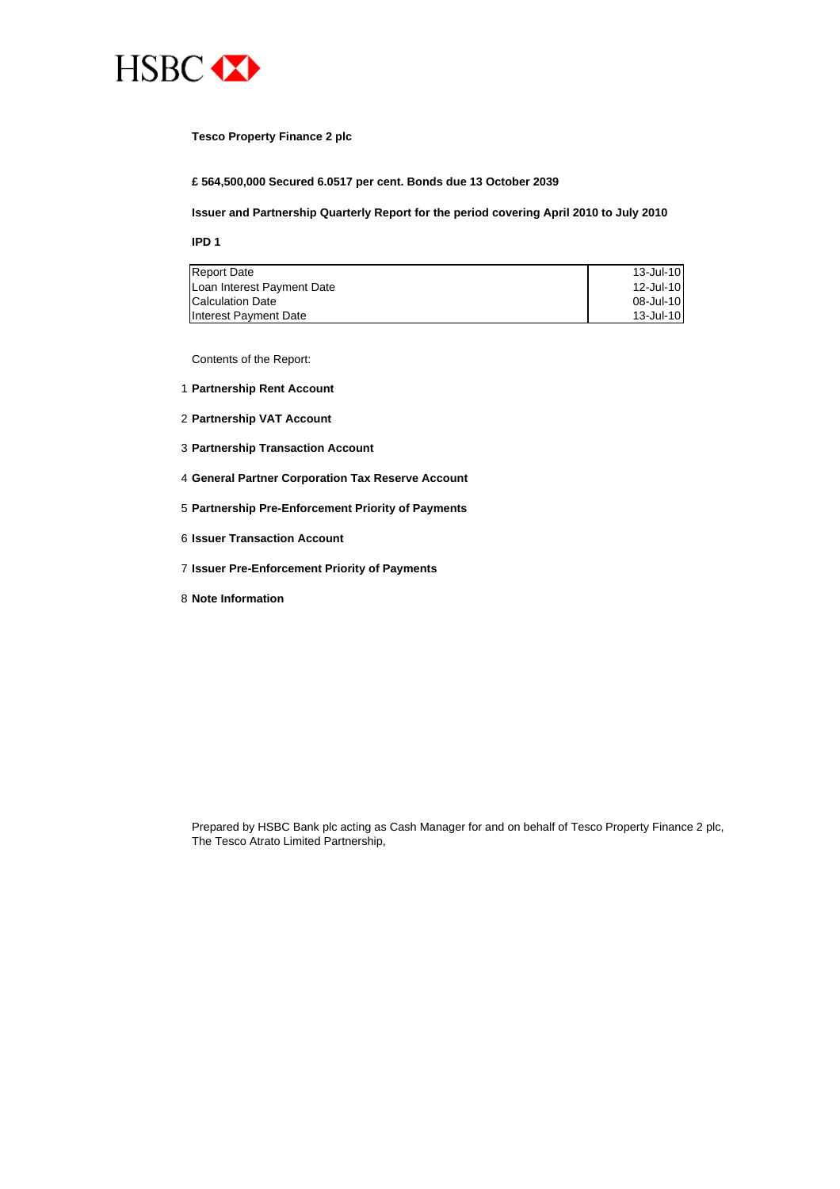

#### **Tesco Property Finance 2 plc**

**£ 564,500,000 Secured 6.0517 per cent. Bonds due 13 October 2039**

#### **Issuer and Partnership Quarterly Report for the period covering April 2010 to July 2010**

**IPD 1**

| <b>Report Date</b>         | $13$ -Jul-10 |
|----------------------------|--------------|
| Loan Interest Payment Date | $12$ -Jul-10 |
| <b>Calculation Date</b>    | 08-Jul-10    |
| Interest Payment Date      | 13 Jul-10    |

Contents of the Report:

- 1 **Partnership Rent Account**
- 2 **Partnership VAT Account**
- 3 **Partnership Transaction Account**
- 4 **General Partner Corporation Tax Reserve Account**
- 5 **Partnership Pre-Enforcement Priority of Payments**
- 6 **Issuer Transaction Account**
- 7 **Issuer Pre-Enforcement Priority of Payments**
- 8 **Note Information**

Prepared by HSBC Bank plc acting as Cash Manager for and on behalf of Tesco Property Finance 2 plc, The Tesco Atrato Limited Partnership,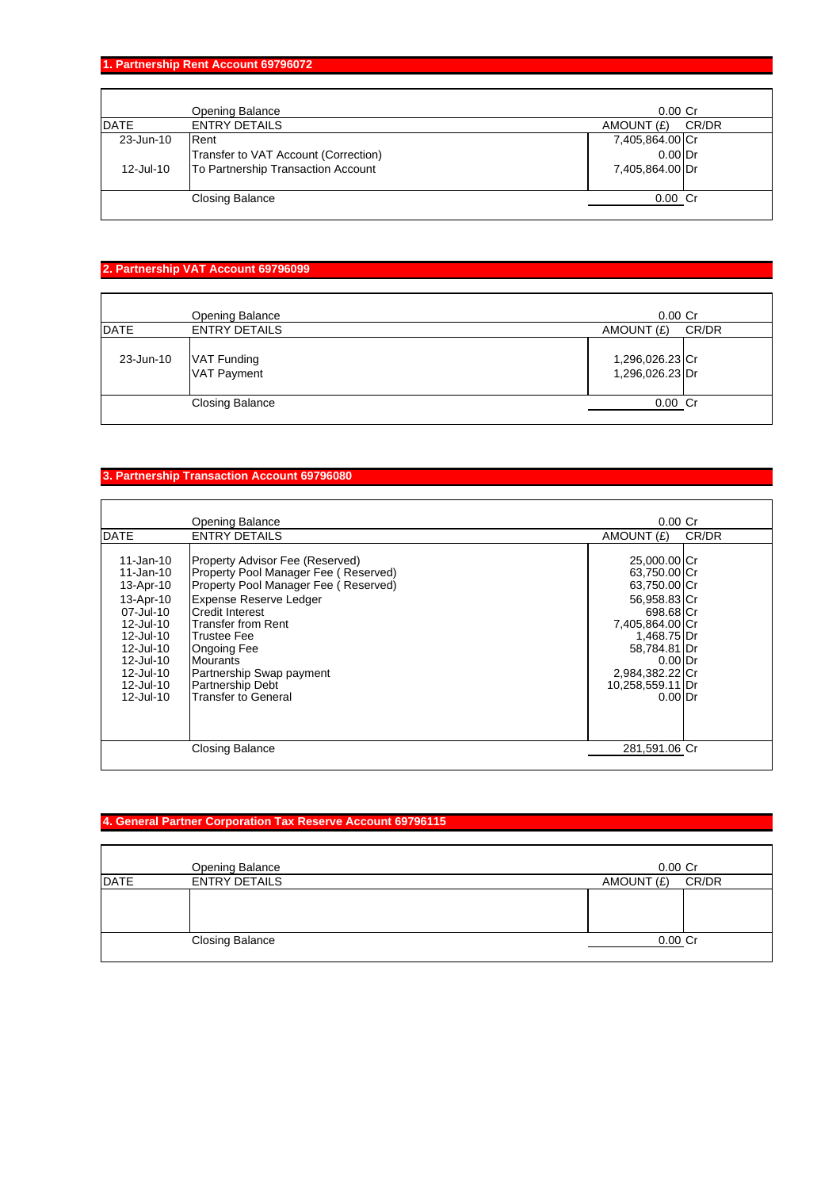**1. Partnership Rent Account 69796072**

|              | Opening Balance                      | $0.00$ Cr       |       |
|--------------|--------------------------------------|-----------------|-------|
| <b>DATE</b>  | <b>ENTRY DETAILS</b>                 | AMOUNT (£)      | CR/DR |
| 23-Jun-10    | Rent                                 | 7,405,864.00 Cr |       |
|              | Transfer to VAT Account (Correction) | $0.00$ Dr       |       |
| $12$ -Jul-10 | To Partnership Transaction Account   | 7,405,864.00 Dr |       |
|              |                                      |                 |       |
|              | <b>Closing Balance</b>               | $0.00$ Cr       |       |
|              |                                      |                 |       |

### **2. Partnership VAT Account 69796099**

|             | Opening Balance                   | $0.00$ Cr                          |       |
|-------------|-----------------------------------|------------------------------------|-------|
| <b>DATE</b> | <b>ENTRY DETAILS</b>              | AMOUNT (£)                         | CR/DR |
| 23-Jun-10   | VAT Funding<br><b>VAT Payment</b> | 1,296,026.23 Cr<br>1,296,026.23 Dr |       |
|             | <b>Closing Balance</b>            | $0.00$ Cr                          |       |

### **3. Partnership Transaction Account 69796080**

|                                                                                                                                                                | Opening Balance                                                                                                                                                                                                                                                                                                                         | 0.00 <sub>cr</sub>                                                                                                                                                                           |       |
|----------------------------------------------------------------------------------------------------------------------------------------------------------------|-----------------------------------------------------------------------------------------------------------------------------------------------------------------------------------------------------------------------------------------------------------------------------------------------------------------------------------------|----------------------------------------------------------------------------------------------------------------------------------------------------------------------------------------------|-------|
| <b>DATE</b>                                                                                                                                                    | <b>ENTRY DETAILS</b>                                                                                                                                                                                                                                                                                                                    | AMOUNT (£)                                                                                                                                                                                   | CR/DR |
| 11-Jan-10<br>11-Jan-10<br>13-Apr-10<br>13-Apr-10<br>07-Jul-10<br>12-Jul-10<br>$12$ -Jul-10<br>12-Jul-10<br>12-Jul-10<br>12-Jul-10<br>12-Jul-10<br>$12$ -Jul-10 | Property Advisor Fee (Reserved)<br>Property Pool Manager Fee (Reserved)<br>Property Pool Manager Fee (Reserved)<br>Expense Reserve Ledger<br><b>Credit Interest</b><br>lTransfer from Rent<br>Trustee Fee<br><b>Ongoing Fee</b><br><b>Mourants</b><br>Partnership Swap payment<br><b>Partnership Debt</b><br><b>Transfer to General</b> | 25,000.00 Cr<br>63,750.00 Cr<br>63,750.00 Cr<br>56,958.83 Cr<br>698.68 Cr<br>7,405,864.00 Cr<br>1,468.75 Dr<br>58,784.81 Dr<br>$0.00$ Dr<br>2,984,382.22 Cr<br>10,258,559.11 Dr<br>$0.00$ Dr |       |
|                                                                                                                                                                | <b>Closing Balance</b>                                                                                                                                                                                                                                                                                                                  | 281,591.06 Cr                                                                                                                                                                                |       |
|                                                                                                                                                                |                                                                                                                                                                                                                                                                                                                                         |                                                                                                                                                                                              |       |

# **4. General Partner Corporation Tax Reserve Account 69796115**

|             | Opening Balance        | $0.00$ Cr  |       |
|-------------|------------------------|------------|-------|
| <b>DATE</b> | <b>ENTRY DETAILS</b>   | AMOUNT (£) | CR/DR |
|             |                        |            |       |
|             |                        |            |       |
|             |                        |            |       |
|             | <b>Closing Balance</b> | $0.00$ Cr  |       |
|             |                        |            |       |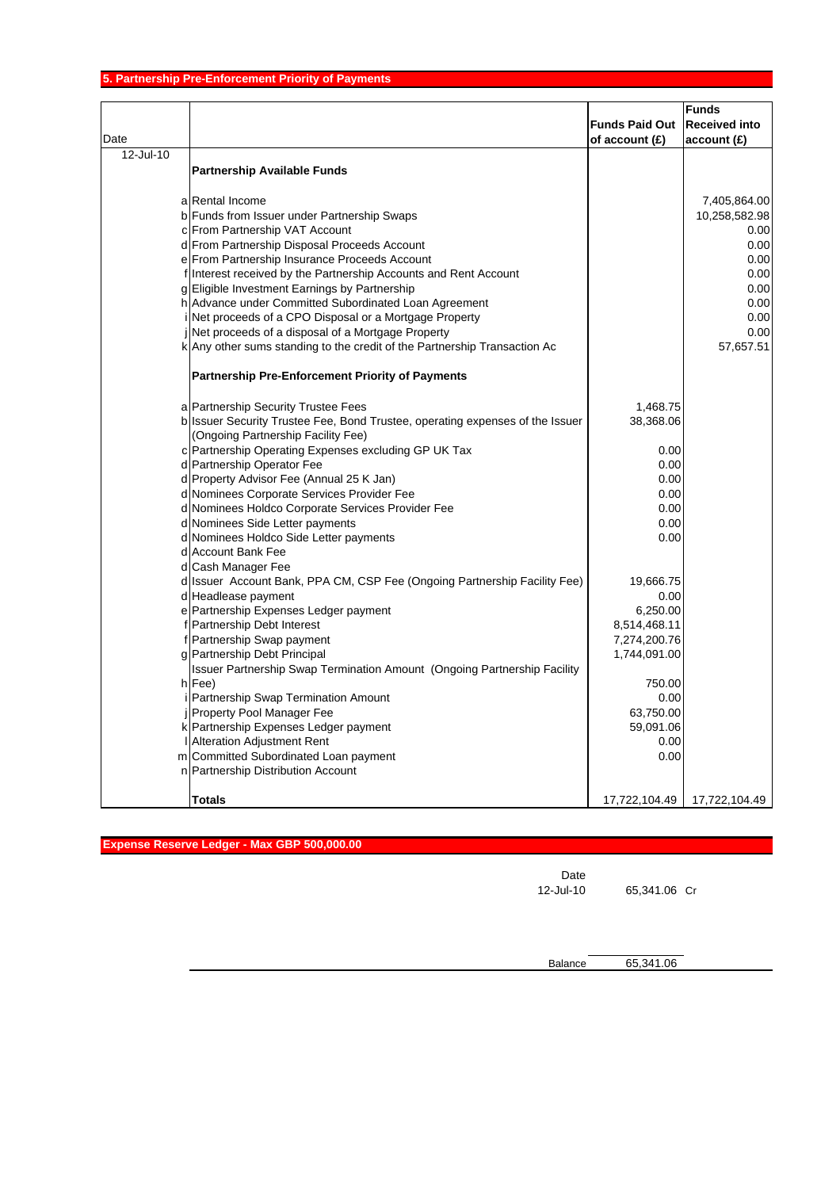| Date      |                                                                               | <b>Funds Paid Out</b><br>of account (£) | <b>Funds</b><br><b>Received into</b><br>account(E) |
|-----------|-------------------------------------------------------------------------------|-----------------------------------------|----------------------------------------------------|
| 12-Jul-10 |                                                                               |                                         |                                                    |
|           | <b>Partnership Available Funds</b>                                            |                                         |                                                    |
|           | a Rental Income                                                               |                                         | 7,405,864.00                                       |
|           | b Funds from Issuer under Partnership Swaps                                   |                                         | 10,258,582.98                                      |
|           | c From Partnership VAT Account                                                |                                         | 0.00                                               |
|           | d From Partnership Disposal Proceeds Account                                  |                                         | 0.00                                               |
|           | e From Partnership Insurance Proceeds Account                                 |                                         | 0.00                                               |
|           | f Interest received by the Partnership Accounts and Rent Account              |                                         | 0.00                                               |
|           | g Eligible Investment Earnings by Partnership                                 |                                         | 0.00                                               |
|           | h Advance under Committed Subordinated Loan Agreement                         |                                         | 0.00                                               |
|           | Net proceeds of a CPO Disposal or a Mortgage Property                         |                                         | 0.00                                               |
|           | Net proceeds of a disposal of a Mortgage Property                             |                                         | 0.00                                               |
|           | k Any other sums standing to the credit of the Partnership Transaction Ac     |                                         | 57,657.51                                          |
|           | <b>Partnership Pre-Enforcement Priority of Payments</b>                       |                                         |                                                    |
|           | a Partnership Security Trustee Fees                                           | 1,468.75                                |                                                    |
|           | b Issuer Security Trustee Fee, Bond Trustee, operating expenses of the Issuer | 38,368.06                               |                                                    |
|           | (Ongoing Partnership Facility Fee)                                            |                                         |                                                    |
|           | c Partnership Operating Expenses excluding GP UK Tax                          | 0.00                                    |                                                    |
|           | d Partnership Operator Fee                                                    | 0.00                                    |                                                    |
|           | d Property Advisor Fee (Annual 25 K Jan)                                      | 0.00                                    |                                                    |
|           | d Nominees Corporate Services Provider Fee                                    | 0.00                                    |                                                    |
|           | d Nominees Holdco Corporate Services Provider Fee                             | 0.00                                    |                                                    |
|           | d Nominees Side Letter payments                                               | 0.00                                    |                                                    |
|           | d Nominees Holdco Side Letter payments                                        | 0.00                                    |                                                    |
|           | d Account Bank Fee                                                            |                                         |                                                    |
|           | d Cash Manager Fee                                                            |                                         |                                                    |
|           | d Issuer Account Bank, PPA CM, CSP Fee (Ongoing Partnership Facility Fee)     | 19,666.75                               |                                                    |
|           | d Headlease payment                                                           | 0.00                                    |                                                    |
|           | e Partnership Expenses Ledger payment                                         | 6,250.00                                |                                                    |
|           | f Partnership Debt Interest                                                   | 8,514,468.11                            |                                                    |
|           | f Partnership Swap payment                                                    | 7,274,200.76                            |                                                    |
|           | g Partnership Debt Principal                                                  | 1,744,091.00                            |                                                    |
|           | Issuer Partnership Swap Termination Amount (Ongoing Partnership Facility      |                                         |                                                    |
|           | h Fee)                                                                        | 750.00                                  |                                                    |
|           | Partnership Swap Termination Amount                                           | 0.00                                    |                                                    |
|           | <b>i</b> Property Pool Manager Fee                                            | 63,750.00                               |                                                    |
|           | k Partnership Expenses Ledger payment                                         | 59,091.06                               |                                                    |
|           | I Alteration Adjustment Rent                                                  | 0.00                                    |                                                    |
|           | m Committed Subordinated Loan payment                                         | 0.00                                    |                                                    |
|           | n Partnership Distribution Account                                            |                                         |                                                    |
|           | Totals                                                                        | 17,722,104.49                           | 17,722,104.49                                      |

| Expense Reserve Ledger - Max GBP 500,000.00 |      |  |  |
|---------------------------------------------|------|--|--|
|                                             |      |  |  |
|                                             | Date |  |  |

12-Jul-10 65,341.06 Cr

Balance 65,341.06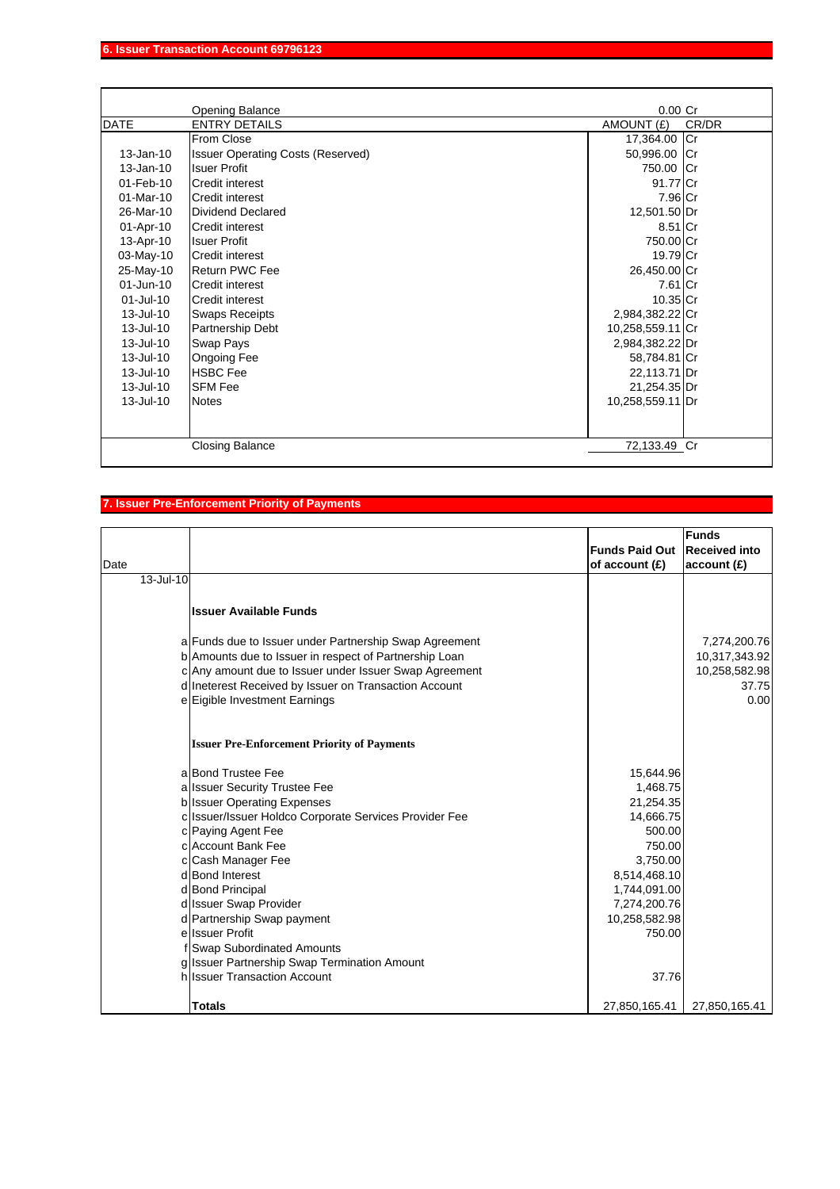|                 | <b>Opening Balance</b>                   | $0.00$ Cr        |       |
|-----------------|------------------------------------------|------------------|-------|
| <b>DATE</b>     | <b>ENTRY DETAILS</b>                     | AMOUNT (£)       | CR/DR |
|                 | From Close                               | 17,364.00 Cr     |       |
| $13$ -Jan-10    | <b>Issuer Operating Costs (Reserved)</b> | 50,996.00 Cr     |       |
| $13$ -Jan-10    | <b>Isuer Profit</b>                      | 750.00 Cr        |       |
| 01-Feb-10       | Credit interest                          | 91.77 Cr         |       |
| $01$ -Mar-10    | Credit interest                          | 7.96 Cr          |       |
| 26-Mar-10       | Dividend Declared                        | 12,501.50 Dr     |       |
| 01-Apr-10       | <b>Credit interest</b>                   | 8.51 Cr          |       |
| 13-Apr-10       | <b>Isuer Profit</b>                      | 750.00 Cr        |       |
| 03-May-10       | Credit interest                          | 19.79 Cr         |       |
| 25-May-10       | Return PWC Fee                           | 26,450.00 Cr     |       |
| $01 - Jun - 10$ | <b>Credit interest</b>                   | 7.61 Cr          |       |
| $01 -$ Jul-10   | <b>Credit interest</b>                   | 10.35 Cr         |       |
| $13$ -Jul-10    | <b>Swaps Receipts</b>                    | 2,984,382.22 Cr  |       |
| $13$ -Jul-10    | Partnership Debt                         | 10,258,559.11 Cr |       |
| $13$ -Jul-10    | <b>Swap Pays</b>                         | 2,984,382.22 Dr  |       |
| $13$ -Jul-10    | Ongoing Fee                              | 58,784.81 Cr     |       |
| 13-Jul-10       | <b>HSBC</b> Fee                          | 22,113.71 Dr     |       |
| 13-Jul-10       | <b>SFM Fee</b>                           | 21,254.35 Dr     |       |
| $13$ -Jul-10    | <b>Notes</b>                             | 10,258,559.11 Dr |       |
|                 |                                          |                  |       |
|                 | <b>Closing Balance</b>                   | 72,133.49 Cr     |       |

# **7. Issuer Pre-Enforcement Priority of Payments**

| Date      |                                                        | <b>Funds Paid Out</b><br>of account (£) | <b>Funds</b><br><b>Received into</b><br>account(E) |
|-----------|--------------------------------------------------------|-----------------------------------------|----------------------------------------------------|
| 13-Jul-10 |                                                        |                                         |                                                    |
|           |                                                        |                                         |                                                    |
|           | <b>Issuer Available Funds</b>                          |                                         |                                                    |
|           |                                                        |                                         |                                                    |
|           | a Funds due to Issuer under Partnership Swap Agreement |                                         | 7,274,200.76                                       |
|           | b Amounts due to Issuer in respect of Partnership Loan |                                         | 10,317,343.92                                      |
|           | c Any amount due to Issuer under Issuer Swap Agreement |                                         | 10,258,582.98                                      |
|           | d Ineterest Received by Issuer on Transaction Account  |                                         | 37.75                                              |
|           | e Eigible Investment Earnings                          |                                         | 0.00                                               |
|           |                                                        |                                         |                                                    |
|           |                                                        |                                         |                                                    |
|           | <b>Issuer Pre-Enforcement Priority of Payments</b>     |                                         |                                                    |
|           |                                                        |                                         |                                                    |
|           | al Bond Trustee Fee                                    | 15,644.96                               |                                                    |
|           | a Issuer Security Trustee Fee                          | 1,468.75                                |                                                    |
|           | b Issuer Operating Expenses                            | 21,254.35                               |                                                    |
|           | c Issuer/Issuer Holdco Corporate Services Provider Fee | 14,666.75                               |                                                    |
|           | c Paying Agent Fee                                     | 500.00                                  |                                                    |
|           | cl Account Bank Fee                                    | 750.00                                  |                                                    |
|           | c Cash Manager Fee<br>d Bond Interest                  | 3,750.00                                |                                                    |
|           | d Bond Principal                                       | 8,514,468.10<br>1,744,091.00            |                                                    |
|           | d Issuer Swap Provider                                 | 7,274,200.76                            |                                                    |
|           | d Partnership Swap payment                             | 10,258,582.98                           |                                                    |
|           | ellssuer Profit                                        | 750.00                                  |                                                    |
|           | <b>Swap Subordinated Amounts</b>                       |                                         |                                                    |
|           | g Issuer Partnership Swap Termination Amount           |                                         |                                                    |
|           | h Issuer Transaction Account                           | 37.76                                   |                                                    |
|           |                                                        |                                         |                                                    |
|           | <b>Totals</b>                                          | 27,850,165.41                           | 27,850,165.41                                      |